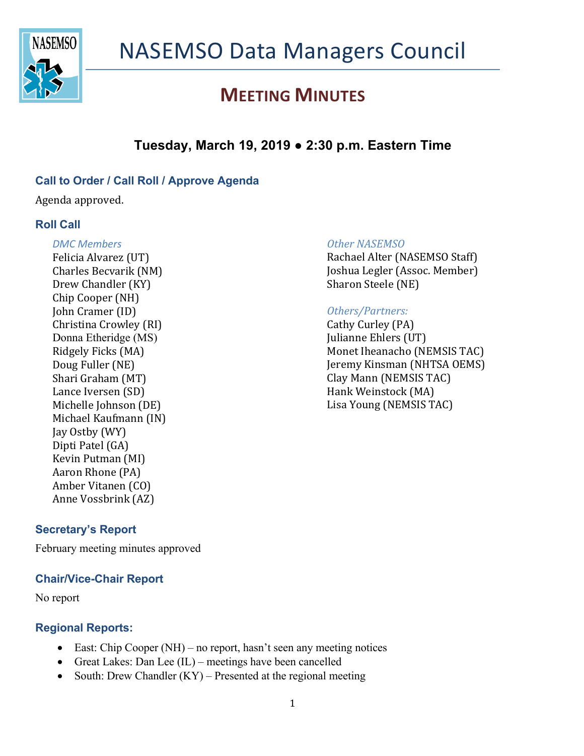

## **Tuesday, March 19, 2019 ● 2:30 p.m. Eastern Time**

### **Call to Order / Call Roll / Approve Agenda**

Agenda approved.

### **Roll Call**

#### *DMC Members*

Felicia Alvarez (UT) Charles Becvarik (NM) Drew Chandler (KY) Chip Cooper (NH) **John Cramer (ID)** Christina Crowley (RI) Donna Etheridge (MS) Ridgely Ficks (MA) Doug Fuller (NE) Shari Graham (MT) Lance Iversen (SD) Michelle Johnson (DE) Michael Kaufmann (IN) Jay Ostby (WY) Dipti Patel (GA) Kevin Putman (MI) Aaron Rhone (PA) Amber Vitanen (CO) Anne Vossbrink (AZ)

### **Secretary's Report**

February meeting minutes approved

### **Chair/Vice-Chair Report**

No report

### **Regional Reports:**

- East: Chip Cooper (NH) no report, hasn't seen any meeting notices
- Great Lakes: Dan Lee (IL) meetings have been cancelled
- South: Drew Chandler  $(KY)$  Presented at the regional meeting

#### **Other NASEMSO**

Rachael Alter (NASEMSO Staff) Joshua Legler (Assoc. Member) Sharon Steele (NE)

### *Others/Partners:*

Cathy Curley (PA) Julianne Ehlers (UT) Monet Iheanacho (NEMSIS TAC) **Jeremy Kinsman (NHTSA OEMS)** Clay Mann (NEMSIS TAC) Hank Weinstock (MA) Lisa Young (NEMSIS TAC)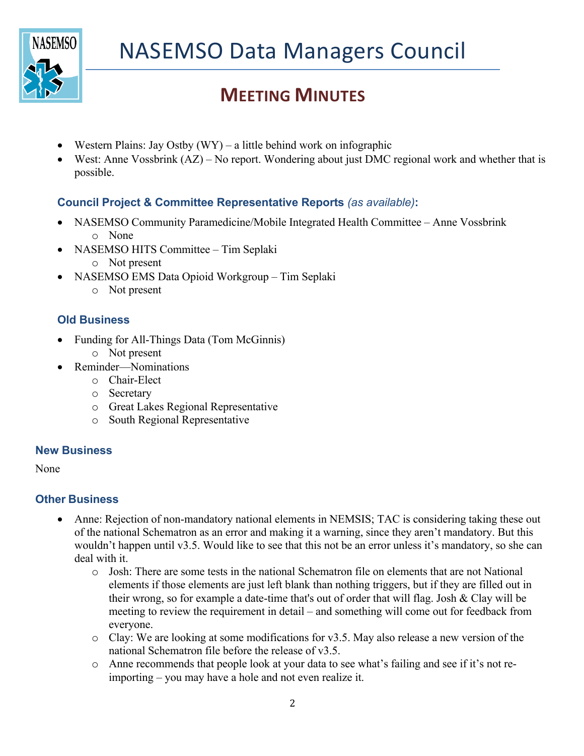

- Western Plains: Jay Ostby  $(WY) a$  little behind work on infographic
- West: Anne Vossbrink (AZ) No report. Wondering about just DMC regional work and whether that is possible.

## **Council Project & Committee Representative Reports** *(as available)***:**

- NASEMSO Community Paramedicine/Mobile Integrated Health Committee Anne Vossbrink o None
- NASEMSO HITS Committee Tim Seplaki
	- o Not present
- NASEMSO EMS Data Opioid Workgroup Tim Seplaki
	- o Not present

## **Old Business**

- Funding for All-Things Data (Tom McGinnis)
	- o Not present
- Reminder—Nominations
	- o Chair-Elect
	- o Secretary
	- o Great Lakes Regional Representative
	- o South Regional Representative

### **New Business**

None

## **Other Business**

- Anne: Rejection of non-mandatory national elements in NEMSIS; TAC is considering taking these out of the national Schematron as an error and making it a warning, since they aren't mandatory. But this wouldn't happen until v3.5. Would like to see that this not be an error unless it's mandatory, so she can deal with it.
	- o Josh: There are some tests in the national Schematron file on elements that are not National elements if those elements are just left blank than nothing triggers, but if they are filled out in their wrong, so for example a date-time that's out of order that will flag. Josh & Clay will be meeting to review the requirement in detail – and something will come out for feedback from everyone.
	- o Clay: We are looking at some modifications for v3.5. May also release a new version of the national Schematron file before the release of v3.5.
	- o Anne recommends that people look at your data to see what's failing and see if it's not reimporting – you may have a hole and not even realize it.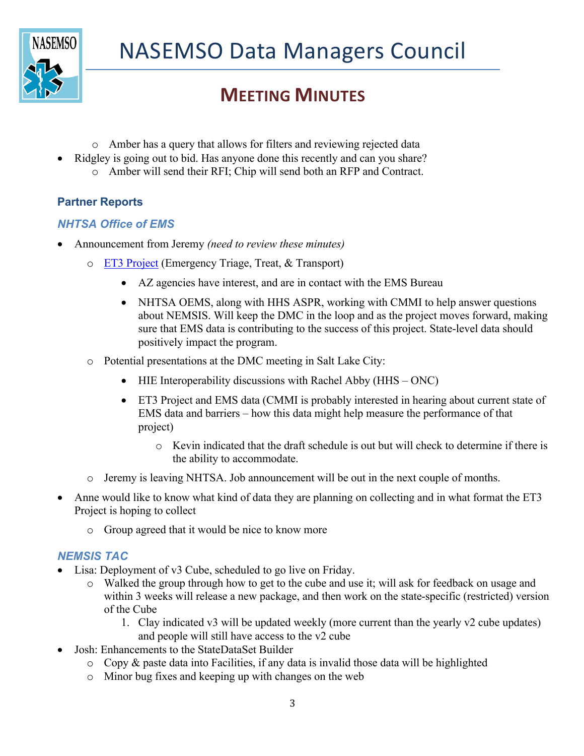

- o Amber has a query that allows for filters and reviewing rejected data
- Ridgley is going out to bid. Has anyone done this recently and can you share?
	- o Amber will send their RFI; Chip will send both an RFP and Contract.

## **Partner Reports**

### *NHTSA Office of EMS*

- Announcement from Jeremy *(need to review these minutes)*
	- o ET3 Project (Emergency Triage, Treat, & Transport)
		- AZ agencies have interest, and are in contact with the EMS Bureau
		- NHTSA OEMS, along with HHS ASPR, working with CMMI to help answer questions about NEMSIS. Will keep the DMC in the loop and as the project moves forward, making sure that EMS data is contributing to the success of this project. State-level data should positively impact the program.
	- o Potential presentations at the DMC meeting in Salt Lake City:
		- HIE Interoperability discussions with Rachel Abby (HHS ONC)
		- ET3 Project and EMS data (CMMI is probably interested in hearing about current state of EMS data and barriers – how this data might help measure the performance of that project)
			- o Kevin indicated that the draft schedule is out but will check to determine if there is the ability to accommodate.
	- o Jeremy is leaving NHTSA. Job announcement will be out in the next couple of months.
- Anne would like to know what kind of data they are planning on collecting and in what format the ET3 Project is hoping to collect
	- o Group agreed that it would be nice to know more

### *NEMSIS TAC*

- Lisa: Deployment of v3 Cube, scheduled to go live on Friday.
	- o Walked the group through how to get to the cube and use it; will ask for feedback on usage and within 3 weeks will release a new package, and then work on the state-specific (restricted) version of the Cube
		- 1. Clay indicated v3 will be updated weekly (more current than the yearly v2 cube updates) and people will still have access to the v2 cube
- Josh: Enhancements to the StateDataSet Builder
	- $\circ$  Copy & paste data into Facilities, if any data is invalid those data will be highlighted
	- o Minor bug fixes and keeping up with changes on the web